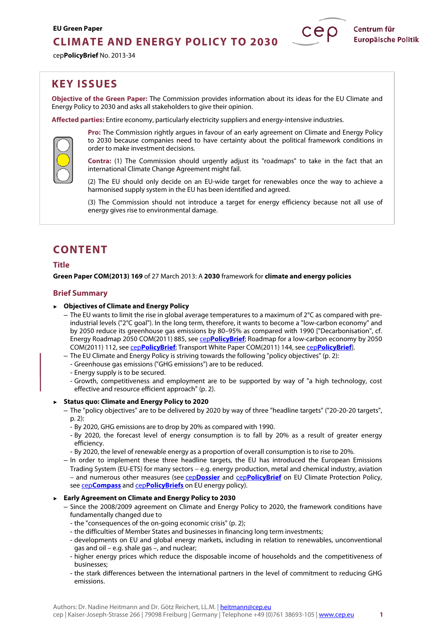# **CLIMATE AND ENERGY POLICY TO 2030**

cep**PolicyBrief** No. 2013-34



**Objective of the Green Paper:** The Commission provides information about its ideas for the EU Climate and Energy Policy to 2030 and asks all stakeholders to give their opinion.

**Affected parties:** Entire economy, particularly electricity suppliers and energy-intensive industries.



**Pro:** The Commission rightly argues in favour of an early agreement on Climate and Energy Policy to 2030 because companies need to have certainty about the political framework conditions in order to make investment decisions.

**Contra:** (1) The Commission should urgently adjust its "roadmaps" to take in the fact that an international Climate Change Agreement might fail.

(2) The EU should only decide on an EU-wide target for renewables once the way to achieve a harmonised supply system in the EU has been identified and agreed.

(3) The Commission should not introduce a target for energy efficiency because not all use of energy gives rise to environmental damage.

# **CONTENT**

## **Title**

**Green Paper COM(2013) 169** of 27 March 2013: A **2030** framework for **climate and energy policies**

## **Brief Summary**

- ► **Objectives of Climate and Energy Policy** 
	- The EU wants to limit the rise in global average temperatures to a maximum of  $2^{\circ}C$  as compared with preindustrial levels ("2°C goal"). In the long term, therefore, it wants to become a "low-carbon economy" and by 2050 reduce its greenhouse gas emissions by 80–95% as compared with 1990 ["Decarbonisation", cf. Energy Roadmap 2050 COM(2011) 885, see cep**[PolicyBrief](http://www.cep.eu/Analysen_KOM/KOM_2011_885_Energiefahrplan/cepPolicyBrief_KOM_2011_885_Energy_Roadmap_2050.pdf)**; Roadmap for a low-carbon economy by 2050 COM(2011) 112, see cep**[PolicyBrief](http://www.cep.eu/Analysen_KOM/KOM_2011_112_CO2-arme_Wirtschaft/cepPolicyBrief_KOM_2011_112_Low_Carbon_Economy.pdf)**; Transport White Paper COM(2011) 144, see cep**[PolicyBrief](http://www.cep.eu/Analysen_KOM/KOM_2011_144_Weissbuch_Verkehr/cepPolicyBrief_KOM_2011_144_Transport_White_Paper.pdf)**].
	- The EU Climate and Energy Policy is striving towards the following "policy objectives" (p. 2):
	- Greenhouse gas emissions ("GHG emissions") are to be reduced.
	- Energy supply is to be secured.
	- Growth, competitiveness and employment are to be supported by way of "a high technology, cost effective and resource efficient approach" (p. 2).

#### ► **Status quo: Climate and Energy Policy to 2020**

- The "policy objectives" are to be delivered by 2020 by way of three "headline targets" ("20-20-20 targets", p. 2):
	- By 2020, GHG emissions are to drop by 20% as compared with 1990.
	- By 2020, the forecast level of energy consumption is to fall by 20% as a result of greater energy efficiency.
	- By 2020, the level of renewable energy as a proportion of overall consumption is to rise to 20%.
- In order to implement these three headline targets, the EU has introduced the European Emissions Trading System (EU-ETS) for many sectors − e.g. energy production, metal and chemical industry, aviation – and numerous other measures (see cep**[Dossier](http://www.cep.eu/Studien/Klima-Dossier/cepDossier_EU-Klimaschutz.pdf)** and cep**[PolicyBrief](http://www.cep.eu/en/eu-topics/climate.html)** on EU Climate Protection Policy, see cep**[Compass](http://www.cep.eu/Studien/cepKompass_Klima_Energie.pdf)** and cep**[PolicyBriefs](http://www.cep.eu/en/eu-topics/energy.html)** on EU energy policy).

#### ► **Early Agreement on Climate and Energy Policy to 2030**

- Since the 2008/2009 agreement on Climate and Energy Policy to 2020, the framework conditions have fundamentally changed due to
	- the "consequences of the on-going economic crisis" (p. 2);
	- the difficulties of Member States and businesses in financing long term investments;
	- developments on EU and global energy markets, including in relation to renewables, unconventional gas and oil – e.g. shale gas –, and nuclear;
	- higher energy prices which reduce the disposable income of households and the competitiveness of businesses;
	- the stark differences between the international partners in the level of commitment to reducing GHG emissions.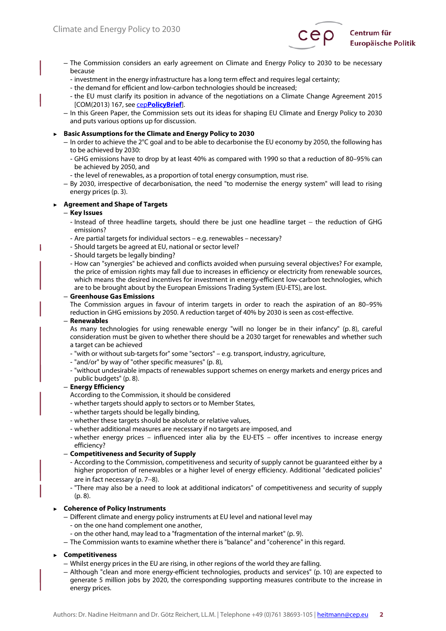

- The Commission considers an early agreement on Climate and Energy Policy to 2030 to be necessary because
	- investment in the energy infrastructure has a long term effect and requires legal certainty;
	- the demand for efficient and low-carbon technologies should be increased;
	- the EU must clarify its position in advance of the negotiations on a Climate Change Agreement 2015 [COM(2013) 167, see cep**[PolicyBrief](http://www.cep.eu/Analysen/COM_2013_167_Klimaschutzabkommen_2015/cepPolicyBrief_COM_2013_167_Climate_Change_Agreement.pdf)**].
- In this Green Paper, the Commission sets out its ideas for shaping EU Climate and Energy Policy to 2030 and puts various options up for discussion.

#### ► **Basic Assumptions for the Climate and Energy Policy to 2030**

- In order to achieve the 2°C goal and to be able to decarbonise the EU economy by 2050, the following has to be achieved by 2030:
	- GHG emissions have to drop by at least 40% as compared with 1990 so that a reduction of 80–95% can be achieved by 2050, and
	- the level of renewables, as a proportion of total energy consumption, must rise.
- By 2030, irrespective of decarbonisation, the need "to modernise the energy system" will lead to rising energy prices (p. 3).

#### ► **Agreement and Shape of Targets**

#### – **Key Issues**

T

- Instead of three headline targets, should there be just one headline target − the reduction of GHG emissions?
- Are partial targets for individual sectors e.g. renewables necessary?
- Should targets be agreed at EU, national or sector level?
- Should targets be legally binding?
- How can "synergies" be achieved and conflicts avoided when pursuing several objectives? For example, the price of emission rights may fall due to increases in efficiency or electricity from renewable sources, which means the desired incentives for investment in energy-efficient low-carbon technologies, which are to be brought about by the European Emissions Trading System (EU-ETS), are lost.

#### – **Greenhouse Gas Emissions**

The Commission argues in favour of interim targets in order to reach the aspiration of an 80–95% reduction in GHG emissions by 2050. A reduction target of 40% by 2030 is seen as cost-effective.

#### – **Renewables**

As many technologies for using renewable energy "will no longer be in their infancy" (p. 8), careful consideration must be given to whether there should be a 2030 target for renewables and whether such a target can be achieved

- "with or without sub-targets for" some "sectors" e.g. transport, industry, agriculture,
- "and/or" by way of "other specific measures" (p. 8),
- "without undesirable impacts of renewables support schemes on energy markets and energy prices and public budgets" (p. 8).

#### – **Energy Efficiency**

- According to the Commission, it should be considered
- whether targets should apply to sectors or to Member States,
- whether targets should be legally binding,
- whether these targets should be absolute or relative values,
- whether additional measures are necessary if no targets are imposed, and
- whether energy prices influenced inter alia by the EU-ETS offer incentives to increase energy efficiency?
- **Competitiveness and Security of Supply**
	- According to the Commission, competitiveness and security of supply cannot be guaranteed either by a higher proportion of renewables or a higher level of energy efficiency. Additional "dedicated policies" are in fact necessary (p. 7−8).
	- "There may also be a need to look at additional indicators" of competitiveness and security of supply (p. 8).

#### ► **Coherence of Policy Instruments**

- Different climate and energy policy instruments at EU level and national level may
	- on the one hand complement one another,
	- on the other hand, may lead to a "fragmentation of the internal market" (p. 9).
- The Commission wants to examine whether there is "balance" and "coherence" in this regard.

## ► **Competitiveness**

- Whilst energy prices in the EU are rising, in other regions of the world they are falling.
- Although "clean and more energy-efficient technologies, products and services" (p. 10) are expected to generate 5 million jobs by 2020, the corresponding supporting measures contribute to the increase in energy prices.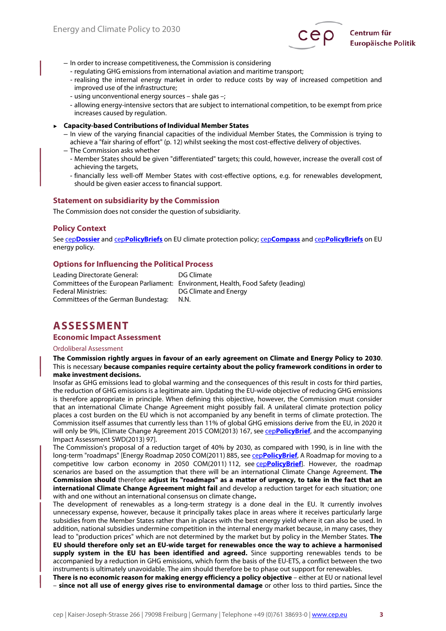

- In order to increase competitiveness, the Commission is considering
- regulating GHG emissions from international aviation and maritime transport;
- realising the internal energy market in order to reduce costs by way of increased competition and improved use of the infrastructure;
- using unconventional energy sources shale gas –;
- allowing energy-intensive sectors that are subject to international competition, to be exempt from price increases caused by regulation.
- ► **Capacity-based Contributions of Individual Member States** 
	- In view of the varying financial capacities of the individual Member States, the Commission is trying to achieve a "fair sharing of effort" (p. 12) whilst seeking the most cost-effective delivery of objectives.
	- The Commission asks whether
		- Member States should be given "differentiated" targets; this could, however, increase the overall cost of achieving the targets,
		- financially less well-off Member States with cost-effective options, e.g. for renewables development, should be given easier access to financial support.

#### **Statement on subsidiarity by the Commission**

The Commission does not consider the question of subsidiarity.

#### **Policy Context**

See cep**[Dossier](http://www.cep.eu/Studien/Klima-Dossier/cepDossier_EU-Klimaschutz.pdf)** and cep**[PolicyBriefs](http://www.cep.eu/en/eu-topics/climate.html)** on EU climate protection policy; cep**[Compass](http://www.cep.eu/Studien/cepKompass_Klima_Energie.pdf)** and cep**[PolicyBriefs](http://www.cep.eu/en/eu-topics/energy.html)** on EU energy policy.

## **Options for Influencing the Political Process**

Leading Directorate General: DG Climate Committees of the European Parliament: Environment, Health, Food Safety (leading) Federal Ministries: Cameral Controller and Energy Committees of the German Bundestag: N.N.

# **ASSESSMENT**

#### **Economic Impact Assessment**

#### Ordoliberal Assessment

**The Commission rightly argues in favour of an early agreement on Climate and Energy Policy to 2030**. This is necessary **because companies require certainty about the policy framework conditions in order to make investment decisions.**

Insofar as GHG emissions lead to global warming and the consequences of this result in costs for third parties, the reduction of GHG emissions is a legitimate aim. Updating the EU-wide objective of reducing GHG emissions is therefore appropriate in principle. When defining this objective, however, the Commission must consider that an international Climate Change Agreement might possibly fail. A unilateral climate protection policy places a cost burden on the EU which is not accompanied by any benefit in terms of climate protection. The Commission itself assumes that currently less than 11% of global GHG emissions derive from the EU, in 2020 it will only be 9%, [Climate Change Agreement 2015 COM(2013) 167, see cep**[PolicyBrief](http://www.cep.eu/Analysen/COM_2013_167_Klimaschutzabkommen_2015/cepPolicyBrief_COM_2013_167_Climate_Change_Agreement.pdf)**, and the accompanying Impact Assessment SWD(2013) 97].

The Commission's proposal of a reduction target of 40% by 2030, as compared with 1990, is in line with the long-term "roadmaps" [Energy Roadmap 2050 COM(2011) 885, see cep**[PolicyBrief](http://www.cep.eu/Analysen_KOM/KOM_2011_885_Energiefahrplan/cepPolicyBrief_KOM_2011_885_Energy_Roadmap_2050.pdf)**, A Roadmap for moving to a competitive low carbon economy in 2050 COM(2011) 112, see cep**[PolicyBrief](http://www.cep.eu/Analysen_KOM/KOM_2011_112_CO2-arme_Wirtschaft/cepPolicyBrief_KOM_2011_112_Low_Carbon_Economy.pdf)**]. However, the roadmap scenarios are based on the assumption that there will be an international Climate Change Agreement. **The Commission should** therefore **adjust its "roadmaps" as a matter of urgency, to take in the fact that an international Climate Change Agreement might fail** and develop a reduction target for each situation; one with and one without an international consensus on climate change**.**

The development of renewables as a long-term strategy is a done deal in the EU. It currently involves unnecessary expense, however, because it principally takes place in areas where it receives particularly large subsidies from the Member States rather than in places with the best energy yield where it can also be used. In addition, national subsidies undermine competition in the internal energy market because, in many cases, they lead to "production prices" which are not determined by the market but by policy in the Member States. **The EU should therefore only set an EU-wide target for renewables once the way to achieve a harmonised supply system in the EU has been identified and agreed.** Since supporting renewables tends to be accompanied by a reduction in GHG emissions, which form the basis of the EU-ETS, a conflict between the two instruments is ultimately unavoidable. The aim should therefore be to phase out support for renewables.

**There is no economic reason for making energy efficiency a policy objective** – either at EU or national level – **since not all use of energy gives rise to environmental damage** or other loss to third parties**.** Since the